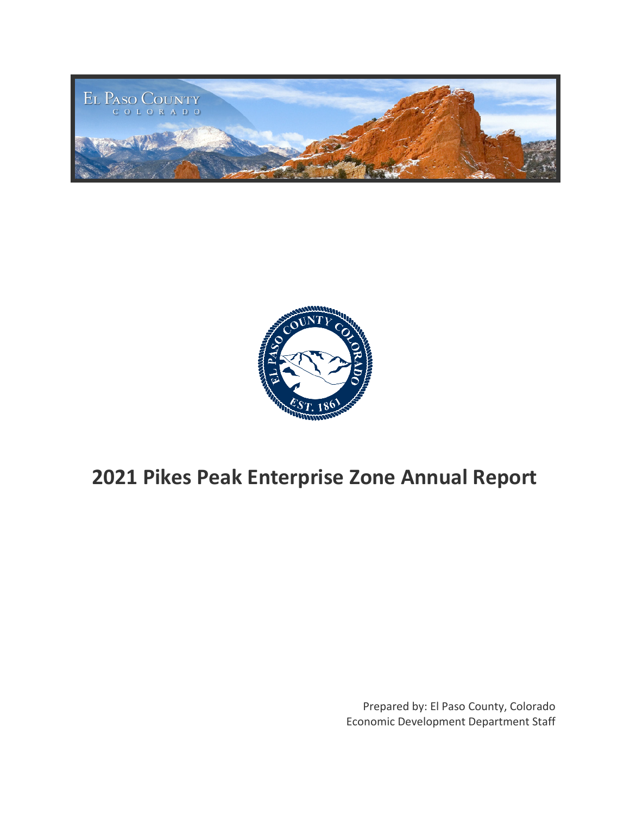



# **2021 Pikes Peak Enterprise Zone Annual Report**

Prepared by: El Paso County, Colorado Economic Development Department Staff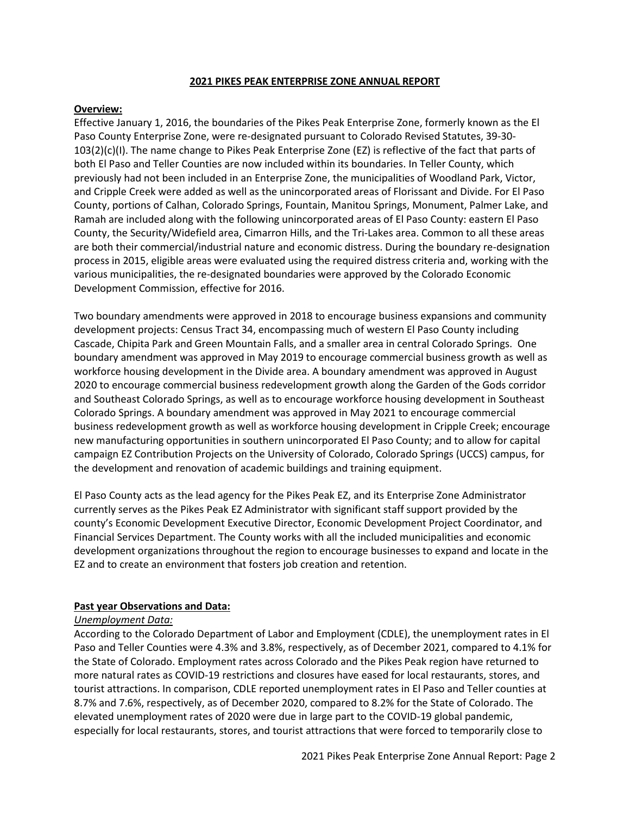#### **2021 PIKES PEAK ENTERPRISE ZONE ANNUAL REPORT**

## **Overview:**

Effective January 1, 2016, the boundaries of the Pikes Peak Enterprise Zone, formerly known as the El Paso County Enterprise Zone, were re-designated pursuant to Colorado Revised Statutes, 39-30- 103(2)(c)(I). The name change to Pikes Peak Enterprise Zone (EZ) is reflective of the fact that parts of both El Paso and Teller Counties are now included within its boundaries. In Teller County, which previously had not been included in an Enterprise Zone, the municipalities of Woodland Park, Victor, and Cripple Creek were added as well as the unincorporated areas of Florissant and Divide. For El Paso County, portions of Calhan, Colorado Springs, Fountain, Manitou Springs, Monument, Palmer Lake, and Ramah are included along with the following unincorporated areas of El Paso County: eastern El Paso County, the Security/Widefield area, Cimarron Hills, and the Tri-Lakes area. Common to all these areas are both their commercial/industrial nature and economic distress. During the boundary re-designation process in 2015, eligible areas were evaluated using the required distress criteria and, working with the various municipalities, the re-designated boundaries were approved by the Colorado Economic Development Commission, effective for 2016.

Two boundary amendments were approved in 2018 to encourage business expansions and community development projects: Census Tract 34, encompassing much of western El Paso County including Cascade, Chipita Park and Green Mountain Falls, and a smaller area in central Colorado Springs. One boundary amendment was approved in May 2019 to encourage commercial business growth as well as workforce housing development in the Divide area. A boundary amendment was approved in August 2020 to encourage commercial business redevelopment growth along the Garden of the Gods corridor and Southeast Colorado Springs, as well as to encourage workforce housing development in Southeast Colorado Springs. A boundary amendment was approved in May 2021 to encourage commercial business redevelopment growth as well as workforce housing development in Cripple Creek; encourage new manufacturing opportunities in southern unincorporated El Paso County; and to allow for capital campaign EZ Contribution Projects on the University of Colorado, Colorado Springs (UCCS) campus, for the development and renovation of academic buildings and training equipment.

El Paso County acts as the lead agency for the Pikes Peak EZ, and its Enterprise Zone Administrator currently serves as the Pikes Peak EZ Administrator with significant staff support provided by the county's Economic Development Executive Director, Economic Development Project Coordinator, and Financial Services Department. The County works with all the included municipalities and economic development organizations throughout the region to encourage businesses to expand and locate in the EZ and to create an environment that fosters job creation and retention.

## **Past year Observations and Data:**

## *Unemployment Data:*

According to the Colorado Department of Labor and Employment (CDLE), the unemployment rates in El Paso and Teller Counties were 4.3% and 3.8%, respectively, as of December 2021, compared to 4.1% for the State of Colorado. Employment rates across Colorado and the Pikes Peak region have returned to more natural rates as COVID-19 restrictions and closures have eased for local restaurants, stores, and tourist attractions. In comparison, CDLE reported unemployment rates in El Paso and Teller counties at 8.7% and 7.6%, respectively, as of December 2020, compared to 8.2% for the State of Colorado. The elevated unemployment rates of 2020 were due in large part to the COVID-19 global pandemic, especially for local restaurants, stores, and tourist attractions that were forced to temporarily close to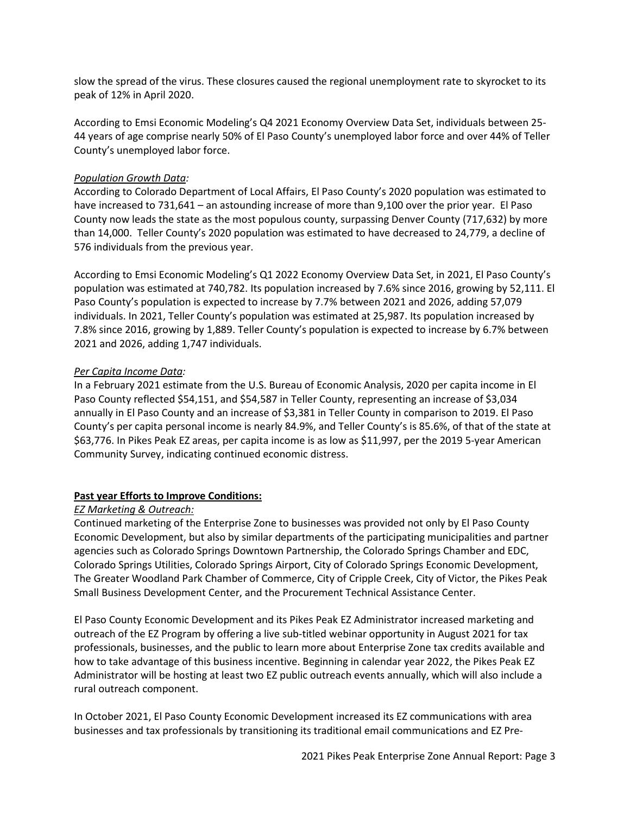slow the spread of the virus. These closures caused the regional unemployment rate to skyrocket to its peak of 12% in April 2020.

According to Emsi Economic Modeling's Q4 2021 Economy Overview Data Set, individuals between 25- 44 years of age comprise nearly 50% of El Paso County's unemployed labor force and over 44% of Teller County's unemployed labor force.

## *Population Growth Data:*

According to Colorado Department of Local Affairs, El Paso County's 2020 population was estimated to have increased to 731,641 – an astounding increase of more than 9,100 over the prior year. El Paso County now leads the state as the most populous county, surpassing Denver County (717,632) by more than 14,000. Teller County's 2020 population was estimated to have decreased to 24,779, a decline of 576 individuals from the previous year.

According to Emsi Economic Modeling's Q1 2022 Economy Overview Data Set, in 2021, El Paso County's population was estimated at 740,782. Its population increased by 7.6% since 2016, growing by 52,111. El Paso County's population is expected to increase by 7.7% between 2021 and 2026, adding 57,079 individuals. In 2021, Teller County's population was estimated at 25,987. Its population increased by 7.8% since 2016, growing by 1,889. Teller County's population is expected to increase by 6.7% between 2021 and 2026, adding 1,747 individuals.

## *Per Capita Income Data:*

In a February 2021 estimate from the U.S. Bureau of Economic Analysis, 2020 per capita income in El Paso County reflected \$54,151, and \$54,587 in Teller County, representing an increase of \$3,034 annually in El Paso County and an increase of \$3,381 in Teller County in comparison to 2019. El Paso County's per capita personal income is nearly 84.9%, and Teller County's is 85.6%, of that of the state at \$63,776. In Pikes Peak EZ areas, per capita income is as low as \$11,997, per the 2019 5-year American Community Survey, indicating continued economic distress.

# **Past year Efforts to Improve Conditions:**

# *EZ Marketing & Outreach:*

Continued marketing of the Enterprise Zone to businesses was provided not only by El Paso County Economic Development, but also by similar departments of the participating municipalities and partner agencies such as Colorado Springs Downtown Partnership, the Colorado Springs Chamber and EDC, Colorado Springs Utilities, Colorado Springs Airport, City of Colorado Springs Economic Development, The Greater Woodland Park Chamber of Commerce, City of Cripple Creek, City of Victor, the Pikes Peak Small Business Development Center, and the Procurement Technical Assistance Center.

El Paso County Economic Development and its Pikes Peak EZ Administrator increased marketing and outreach of the EZ Program by offering a live sub-titled webinar opportunity in August 2021 for tax professionals, businesses, and the public to learn more about Enterprise Zone tax credits available and how to take advantage of this business incentive. Beginning in calendar year 2022, the Pikes Peak EZ Administrator will be hosting at least two EZ public outreach events annually, which will also include a rural outreach component.

In October 2021, El Paso County Economic Development increased its EZ communications with area businesses and tax professionals by transitioning its traditional email communications and EZ Pre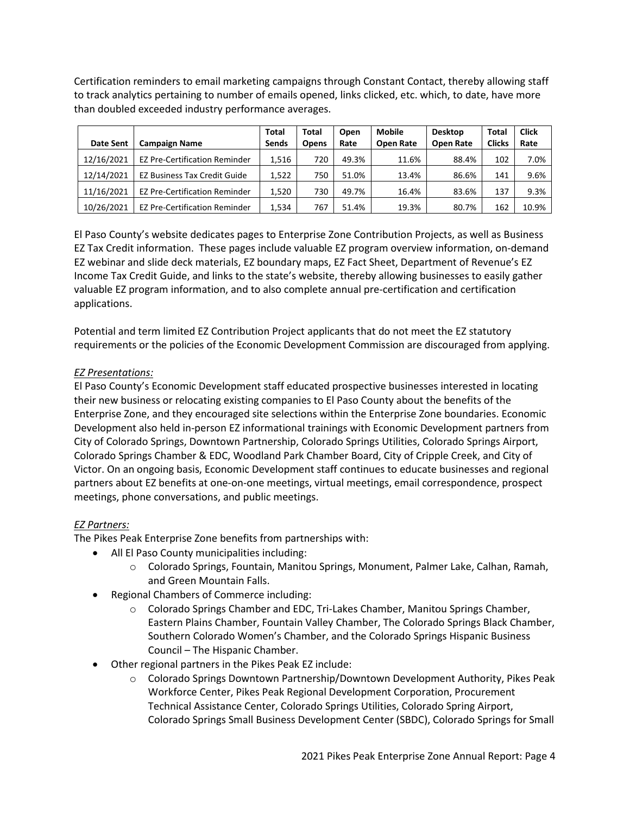Certification reminders to email marketing campaigns through Constant Contact, thereby allowing staff to track analytics pertaining to number of emails opened, links clicked, etc. which, to date, have more than doubled exceeded industry performance averages.

|                  |                                      | <b>Total</b> | Total        | Open  | <b>Mobile</b>    | <b>Desktop</b>   | <b>Total</b>  | <b>Click</b> |
|------------------|--------------------------------------|--------------|--------------|-------|------------------|------------------|---------------|--------------|
| <b>Date Sent</b> | <b>Campaign Name</b>                 | <b>Sends</b> | <b>Opens</b> | Rate  | <b>Open Rate</b> | <b>Open Rate</b> | <b>Clicks</b> | Rate         |
| 12/16/2021       | <b>EZ Pre-Certification Reminder</b> | 1,516        | 720          | 49.3% | 11.6%            | 88.4%            | 102           | 7.0%         |
| 12/14/2021       | <b>EZ Business Tax Credit Guide</b>  | 1,522        | 750          | 51.0% | 13.4%            | 86.6%            | 141           | 9.6%         |
| 11/16/2021       | <b>EZ Pre-Certification Reminder</b> | 1,520        | 730          | 49.7% | 16.4%            | 83.6%            | 137           | 9.3%         |
| 10/26/2021       | <b>EZ Pre-Certification Reminder</b> | 1,534        | 767          | 51.4% | 19.3%            | 80.7%            | 162           | 10.9%        |

El Paso County's website dedicates pages to Enterprise Zone Contribution Projects, as well as Business EZ Tax Credit information. These pages include valuable EZ program overview information, on-demand EZ webinar and slide deck materials, EZ boundary maps, EZ Fact Sheet, Department of Revenue's EZ Income Tax Credit Guide, and links to the state's website, thereby allowing businesses to easily gather valuable EZ program information, and to also complete annual pre-certification and certification applications.

Potential and term limited EZ Contribution Project applicants that do not meet the EZ statutory requirements or the policies of the Economic Development Commission are discouraged from applying.

# *EZ Presentations:*

El Paso County's Economic Development staff educated prospective businesses interested in locating their new business or relocating existing companies to El Paso County about the benefits of the Enterprise Zone, and they encouraged site selections within the Enterprise Zone boundaries. Economic Development also held in-person EZ informational trainings with Economic Development partners from City of Colorado Springs, Downtown Partnership, Colorado Springs Utilities, Colorado Springs Airport, Colorado Springs Chamber & EDC, Woodland Park Chamber Board, City of Cripple Creek, and City of Victor. On an ongoing basis, Economic Development staff continues to educate businesses and regional partners about EZ benefits at one-on-one meetings, virtual meetings, email correspondence, prospect meetings, phone conversations, and public meetings.

# *EZ Partners:*

The Pikes Peak Enterprise Zone benefits from partnerships with:

- All El Paso County municipalities including:
	- o Colorado Springs, Fountain, Manitou Springs, Monument, Palmer Lake, Calhan, Ramah, and Green Mountain Falls.
- Regional Chambers of Commerce including:
	- o Colorado Springs Chamber and EDC, Tri-Lakes Chamber, Manitou Springs Chamber, Eastern Plains Chamber, Fountain Valley Chamber, The Colorado Springs Black Chamber, Southern Colorado Women's Chamber, and the Colorado Springs Hispanic Business Council – The Hispanic Chamber.
- Other regional partners in the Pikes Peak EZ include:
	- o Colorado Springs Downtown Partnership/Downtown Development Authority, Pikes Peak Workforce Center, Pikes Peak Regional Development Corporation, Procurement Technical Assistance Center, Colorado Springs Utilities, Colorado Spring Airport, Colorado Springs Small Business Development Center (SBDC), Colorado Springs for Small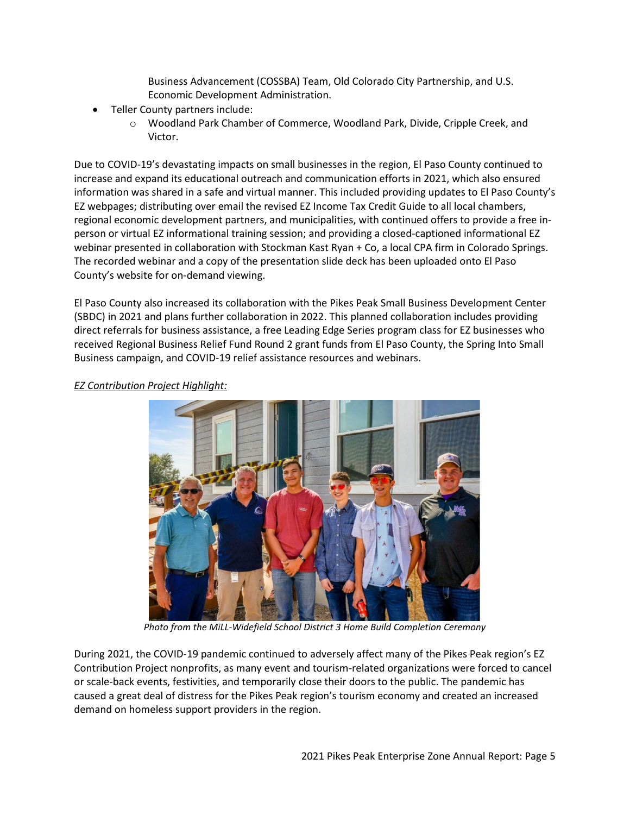Business Advancement (COSSBA) Team, Old Colorado City Partnership, and U.S. Economic Development Administration.

- Teller County partners include:
	- o Woodland Park Chamber of Commerce, Woodland Park, Divide, Cripple Creek, and Victor.

Due to COVID-19's devastating impacts on small businesses in the region, El Paso County continued to increase and expand its educational outreach and communication efforts in 2021, which also ensured information was shared in a safe and virtual manner. This included providing updates to El Paso County's EZ webpages; distributing over email the revised EZ Income Tax Credit Guide to all local chambers, regional economic development partners, and municipalities, with continued offers to provide a free inperson or virtual EZ informational training session; and providing a closed-captioned informational EZ webinar presented in collaboration with Stockman Kast Ryan + Co, a local CPA firm in Colorado Springs. The recorded webinar and a copy of the presentation slide deck has been uploaded onto El Paso County's website for on-demand viewing.

El Paso County also increased its collaboration with the Pikes Peak Small Business Development Center (SBDC) in 2021 and plans further collaboration in 2022. This planned collaboration includes providing direct referrals for business assistance, a free Leading Edge Series program class for EZ businesses who received Regional Business Relief Fund Round 2 grant funds from El Paso County, the Spring Into Small Business campaign, and COVID-19 relief assistance resources and webinars.



## *EZ Contribution Project Highlight:*

*Photo from the MiLL-Widefield School District 3 Home Build Completion Ceremony*

During 2021, the COVID-19 pandemic continued to adversely affect many of the Pikes Peak region's EZ Contribution Project nonprofits, as many event and tourism-related organizations were forced to cancel or scale-back events, festivities, and temporarily close their doors to the public. The pandemic has caused a great deal of distress for the Pikes Peak region's tourism economy and created an increased demand on homeless support providers in the region.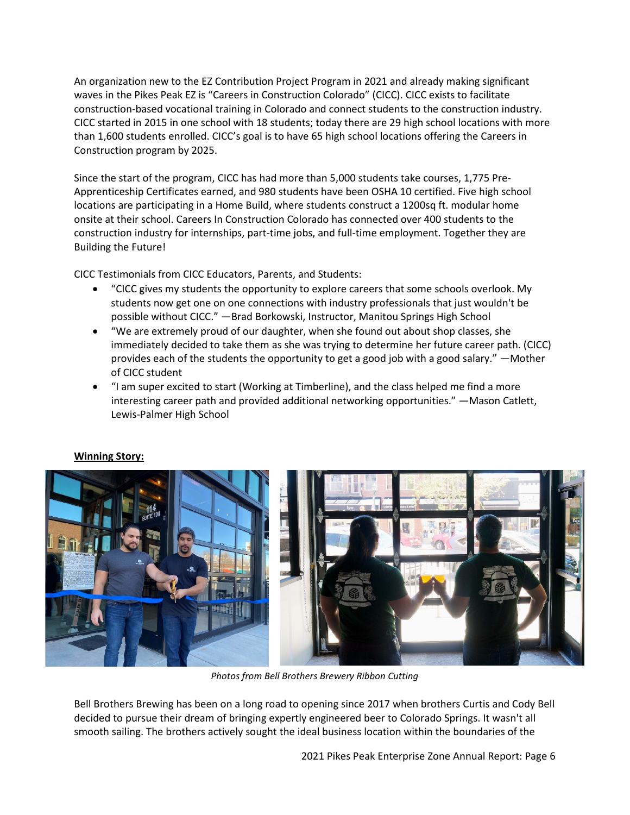An organization new to the EZ Contribution Project Program in 2021 and already making significant waves in the Pikes Peak EZ is "Careers in Construction Colorado" (CICC). CICC exists to facilitate construction-based vocational training in Colorado and connect students to the construction industry. CICC started in 2015 in one school with 18 students; today there are 29 high school locations with more than 1,600 students enrolled. CICC's goal is to have 65 high school locations offering the Careers in Construction program by 2025.

Since the start of the program, CICC has had more than 5,000 students take courses, 1,775 Pre-Apprenticeship Certificates earned, and 980 students have been OSHA 10 certified. Five high school locations are participating in a Home Build, where students construct a 1200sq ft. modular home onsite at their school. Careers In Construction Colorado has connected over 400 students to the construction industry for internships, part-time jobs, and full-time employment. Together they are Building the Future!

CICC Testimonials from CICC Educators, Parents, and Students:

- "CICC gives my students the opportunity to explore careers that some schools overlook. My students now get one on one connections with industry professionals that just wouldn't be possible without CICC." —Brad Borkowski, Instructor, Manitou Springs High School
- "We are extremely proud of our daughter, when she found out about shop classes, she immediately decided to take them as she was trying to determine her future career path. (CICC) provides each of the students the opportunity to get a good job with a good salary." —Mother of CICC student
- "I am super excited to start (Working at Timberline), and the class helped me find a more interesting career path and provided additional networking opportunities." —Mason Catlett, Lewis-Palmer High School



# **Winning Story:**

*Photos from Bell Brothers Brewery Ribbon Cutting*

Bell Brothers Brewing has been on a long road to opening since 2017 when brothers Curtis and Cody Bell decided to pursue their dream of bringing expertly engineered beer to Colorado Springs. It wasn't all smooth sailing. The brothers actively sought the ideal business location within the boundaries of the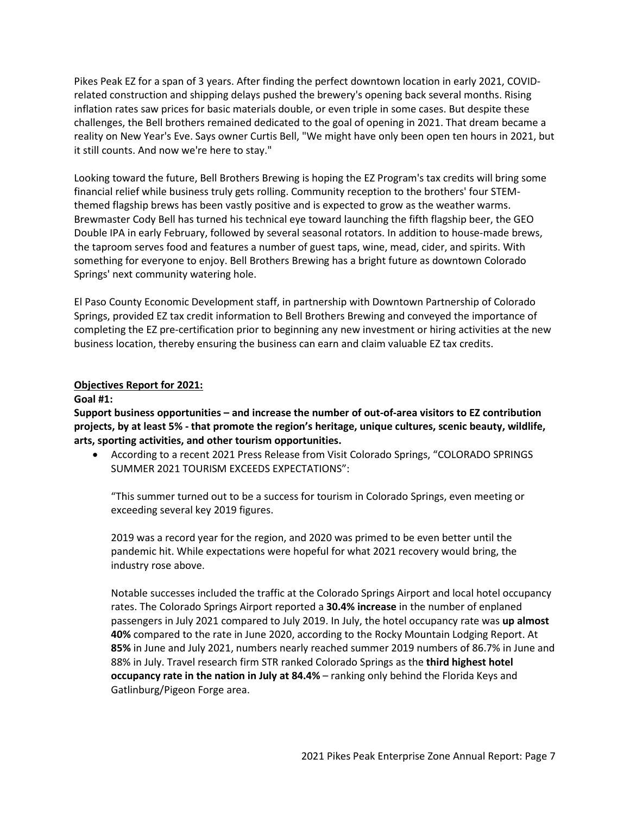Pikes Peak EZ for a span of 3 years. After finding the perfect downtown location in early 2021, COVIDrelated construction and shipping delays pushed the brewery's opening back several months. Rising inflation rates saw prices for basic materials double, or even triple in some cases. But despite these challenges, the Bell brothers remained dedicated to the goal of opening in 2021. That dream became a reality on New Year's Eve. Says owner Curtis Bell, "We might have only been open ten hours in 2021, but it still counts. And now we're here to stay."

Looking toward the future, Bell Brothers Brewing is hoping the EZ Program's tax credits will bring some financial relief while business truly gets rolling. Community reception to the brothers' four STEMthemed flagship brews has been vastly positive and is expected to grow as the weather warms. Brewmaster Cody Bell has turned his technical eye toward launching the fifth flagship beer, the GEO Double IPA in early February, followed by several seasonal rotators. In addition to house-made brews, the taproom serves food and features a number of guest taps, wine, mead, cider, and spirits. With something for everyone to enjoy. Bell Brothers Brewing has a bright future as downtown Colorado Springs' next community watering hole.

El Paso County Economic Development staff, in partnership with Downtown Partnership of Colorado Springs, provided EZ tax credit information to Bell Brothers Brewing and conveyed the importance of completing the EZ pre-certification prior to beginning any new investment or hiring activities at the new business location, thereby ensuring the business can earn and claim valuable EZ tax credits.

## **Objectives Report for 2021:**

## **Goal #1:**

**Support business opportunities – and increase the number of out-of-area visitors to EZ contribution projects, by at least 5% - that promote the region's heritage, unique cultures, scenic beauty, wildlife, arts, sporting activities, and other tourism opportunities.**

• According to a recent 2021 Press Release from Visit Colorado Springs, "COLORADO SPRINGS SUMMER 2021 TOURISM EXCEEDS EXPECTATIONS":

"This summer turned out to be a success for tourism in Colorado Springs, even meeting or exceeding several key 2019 figures.

2019 was a record year for the region, and 2020 was primed to be even better until the pandemic hit. While expectations were hopeful for what 2021 recovery would bring, the industry rose above.

Notable successes included the traffic at the Colorado Springs Airport and local hotel occupancy rates. The Colorado Springs Airport reported a **30.4% increase** in the number of enplaned passengers in July 2021 compared to July 2019. In July, the hotel occupancy rate was **up almost 40%** compared to the rate in June 2020, according to the Rocky Mountain Lodging Report. At **85%** in June and July 2021, numbers nearly reached summer 2019 numbers of 86.7% in June and 88% in July. Travel research firm STR ranked Colorado Springs as the **third highest hotel occupancy rate in the nation in July at 84.4%** – ranking only behind the Florida Keys and Gatlinburg/Pigeon Forge area.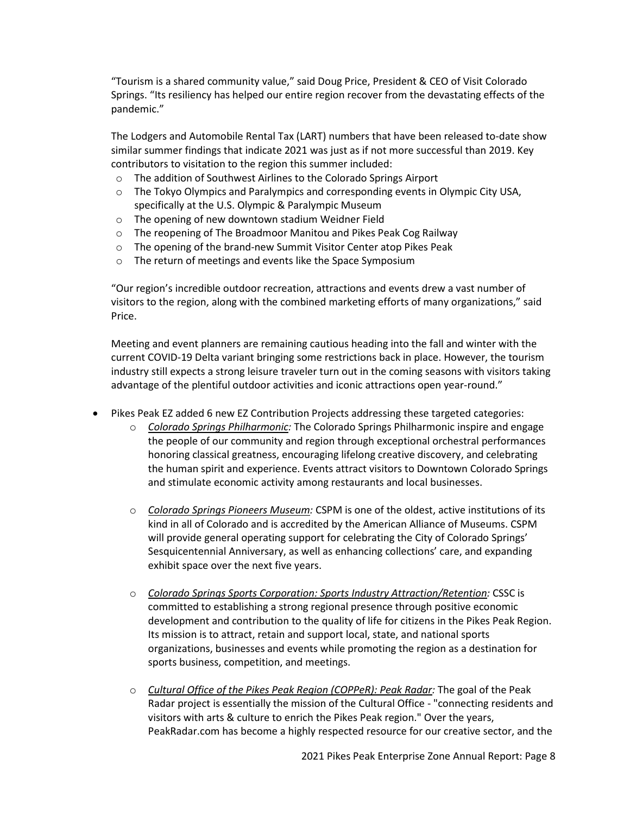"Tourism is a shared community value," said Doug Price, President & CEO of Visit Colorado Springs. "Its resiliency has helped our entire region recover from the devastating effects of the pandemic."

The Lodgers and Automobile Rental Tax (LART) numbers that have been released to-date show similar summer findings that indicate 2021 was just as if not more successful than 2019. Key contributors to visitation to the region this summer included:

- o The addition of Southwest Airlines to the Colorado Springs Airport
- o The Tokyo Olympics and Paralympics and corresponding events in Olympic City USA, specifically at the U.S. Olympic & Paralympic Museum
- o The opening of new downtown stadium Weidner Field
- o The reopening of The Broadmoor Manitou and Pikes Peak Cog Railway
- o The opening of the brand-new Summit Visitor Center atop Pikes Peak
- o The return of meetings and events like the Space Symposium

"Our region's incredible outdoor recreation, attractions and events drew a vast number of visitors to the region, along with the combined marketing efforts of many organizations," said Price.

Meeting and event planners are remaining cautious heading into the fall and winter with the current COVID-19 Delta variant bringing some restrictions back in place. However, the tourism industry still expects a strong leisure traveler turn out in the coming seasons with visitors taking advantage of the plentiful outdoor activities and iconic attractions open year-round."

- Pikes Peak EZ added 6 new EZ Contribution Projects addressing these targeted categories:
	- o *Colorado Springs Philharmonic:* The Colorado Springs Philharmonic inspire and engage the people of our community and region through exceptional orchestral performances honoring classical greatness, encouraging lifelong creative discovery, and celebrating the human spirit and experience. Events attract visitors to Downtown Colorado Springs and stimulate economic activity among restaurants and local businesses.
	- o *Colorado Springs Pioneers Museum:* CSPM is one of the oldest, active institutions of its kind in all of Colorado and is accredited by the American Alliance of Museums. CSPM will provide general operating support for celebrating the City of Colorado Springs' Sesquicentennial Anniversary, as well as enhancing collections' care, and expanding exhibit space over the next five years.
	- o *Colorado Springs Sports Corporation: Sports Industry Attraction/Retention:* CSSC is committed to establishing a strong regional presence through positive economic development and contribution to the quality of life for citizens in the Pikes Peak Region. Its mission is to attract, retain and support local, state, and national sports organizations, businesses and events while promoting the region as a destination for sports business, competition, and meetings.
	- o *Cultural Office of the Pikes Peak Region (COPPeR): Peak Radar:* The goal of the Peak Radar project is essentially the mission of the Cultural Office - "connecting residents and visitors with arts & culture to enrich the Pikes Peak region." Over the years, PeakRadar.com has become a highly respected resource for our creative sector, and the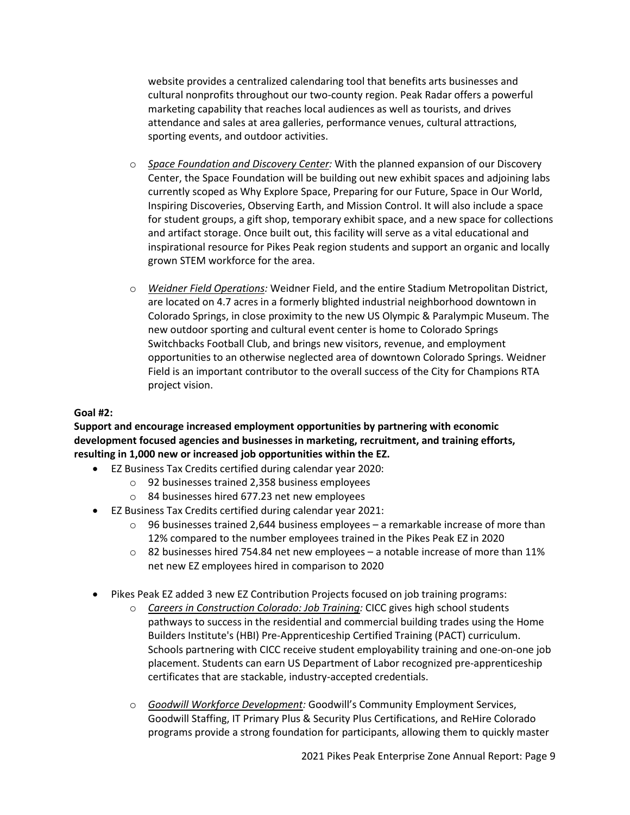website provides a centralized calendaring tool that benefits arts businesses and cultural nonprofits throughout our two-county region. Peak Radar offers a powerful marketing capability that reaches local audiences as well as tourists, and drives attendance and sales at area galleries, performance venues, cultural attractions, sporting events, and outdoor activities.

- o *Space Foundation and Discovery Center:* With the planned expansion of our Discovery Center, the Space Foundation will be building out new exhibit spaces and adjoining labs currently scoped as Why Explore Space, Preparing for our Future, Space in Our World, Inspiring Discoveries, Observing Earth, and Mission Control. It will also include a space for student groups, a gift shop, temporary exhibit space, and a new space for collections and artifact storage. Once built out, this facility will serve as a vital educational and inspirational resource for Pikes Peak region students and support an organic and locally grown STEM workforce for the area.
- o *Weidner Field Operations:* Weidner Field, and the entire Stadium Metropolitan District, are located on 4.7 acres in a formerly blighted industrial neighborhood downtown in Colorado Springs, in close proximity to the new US Olympic & Paralympic Museum. The new outdoor sporting and cultural event center is home to Colorado Springs Switchbacks Football Club, and brings new visitors, revenue, and employment opportunities to an otherwise neglected area of downtown Colorado Springs. Weidner Field is an important contributor to the overall success of the City for Champions RTA project vision.

## **Goal #2:**

**Support and encourage increased employment opportunities by partnering with economic development focused agencies and businesses in marketing, recruitment, and training efforts, resulting in 1,000 new or increased job opportunities within the EZ.**

- EZ Business Tax Credits certified during calendar year 2020:
	- o 92 businesses trained 2,358 business employees
	- o 84 businesses hired 677.23 net new employees
- EZ Business Tax Credits certified during calendar year 2021:
	- $\circ$  96 businesses trained 2,644 business employees a remarkable increase of more than 12% compared to the number employees trained in the Pikes Peak EZ in 2020
	- $\circ$  82 businesses hired 754.84 net new employees a notable increase of more than 11% net new EZ employees hired in comparison to 2020
- Pikes Peak EZ added 3 new EZ Contribution Projects focused on job training programs:
	- o *Careers in Construction Colorado: Job Training:* CICC gives high school students pathways to success in the residential and commercial building trades using the Home Builders Institute's (HBI) Pre-Apprenticeship Certified Training (PACT) curriculum. Schools partnering with CICC receive student employability training and one-on-one job placement. Students can earn US Department of Labor recognized pre-apprenticeship certificates that are stackable, industry-accepted credentials.
	- o *Goodwill Workforce Development:* Goodwill's Community Employment Services, Goodwill Staffing, IT Primary Plus & Security Plus Certifications, and ReHire Colorado programs provide a strong foundation for participants, allowing them to quickly master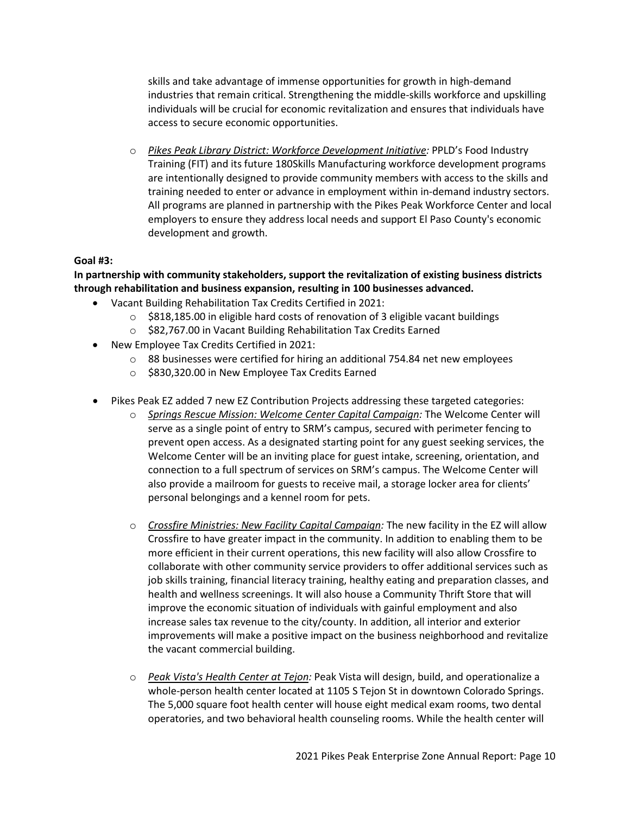skills and take advantage of immense opportunities for growth in high-demand industries that remain critical. Strengthening the middle-skills workforce and upskilling individuals will be crucial for economic revitalization and ensures that individuals have access to secure economic opportunities.

o *Pikes Peak Library District: Workforce Development Initiative:* PPLD's Food Industry Training (FIT) and its future 180Skills Manufacturing workforce development programs are intentionally designed to provide community members with access to the skills and training needed to enter or advance in employment within in-demand industry sectors. All programs are planned in partnership with the Pikes Peak Workforce Center and local employers to ensure they address local needs and support El Paso County's economic development and growth.

## **Goal #3:**

# **In partnership with community stakeholders, support the revitalization of existing business districts through rehabilitation and business expansion, resulting in 100 businesses advanced.**

- Vacant Building Rehabilitation Tax Credits Certified in 2021:
	- $\circ$  \$818,185.00 in eligible hard costs of renovation of 3 eligible vacant buildings
	- o \$82,767.00 in Vacant Building Rehabilitation Tax Credits Earned
- New Employee Tax Credits Certified in 2021:
	- o 88 businesses were certified for hiring an additional 754.84 net new employees
	- o \$830,320.00 in New Employee Tax Credits Earned
- Pikes Peak EZ added 7 new EZ Contribution Projects addressing these targeted categories:
	- o *Springs Rescue Mission: Welcome Center Capital Campaign:* The Welcome Center will serve as a single point of entry to SRM's campus, secured with perimeter fencing to prevent open access. As a designated starting point for any guest seeking services, the Welcome Center will be an inviting place for guest intake, screening, orientation, and connection to a full spectrum of services on SRM's campus. The Welcome Center will also provide a mailroom for guests to receive mail, a storage locker area for clients' personal belongings and a kennel room for pets.
	- o *Crossfire Ministries: New Facility Capital Campaign:* The new facility in the EZ will allow Crossfire to have greater impact in the community. In addition to enabling them to be more efficient in their current operations, this new facility will also allow Crossfire to collaborate with other community service providers to offer additional services such as job skills training, financial literacy training, healthy eating and preparation classes, and health and wellness screenings. It will also house a Community Thrift Store that will improve the economic situation of individuals with gainful employment and also increase sales tax revenue to the city/county. In addition, all interior and exterior improvements will make a positive impact on the business neighborhood and revitalize the vacant commercial building.
	- o *Peak Vista's Health Center at Tejon:* Peak Vista will design, build, and operationalize a whole-person health center located at 1105 S Tejon St in downtown Colorado Springs. The 5,000 square foot health center will house eight medical exam rooms, two dental operatories, and two behavioral health counseling rooms. While the health center will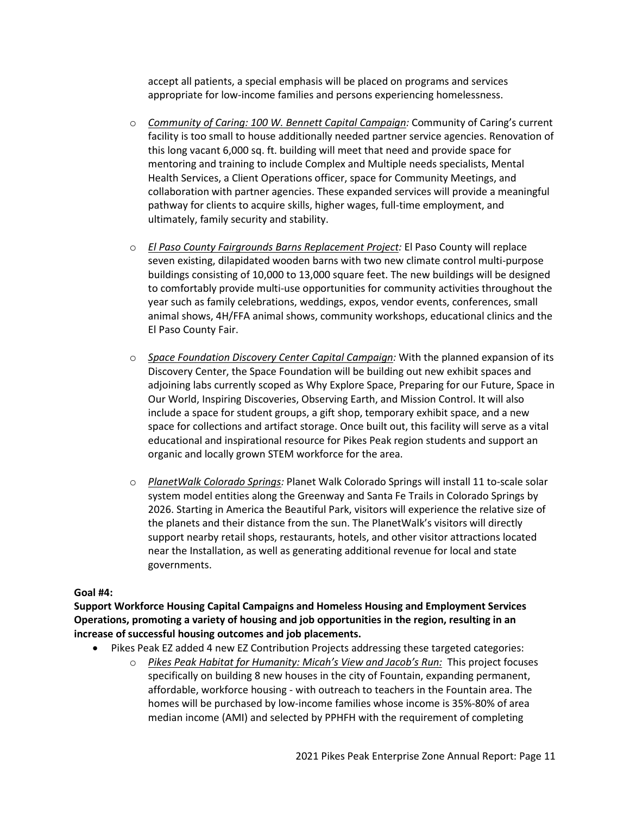accept all patients, a special emphasis will be placed on programs and services appropriate for low-income families and persons experiencing homelessness.

- o *Community of Caring: 100 W. Bennett Capital Campaign:* Community of Caring's current facility is too small to house additionally needed partner service agencies. Renovation of this long vacant 6,000 sq. ft. building will meet that need and provide space for mentoring and training to include Complex and Multiple needs specialists, Mental Health Services, a Client Operations officer, space for Community Meetings, and collaboration with partner agencies. These expanded services will provide a meaningful pathway for clients to acquire skills, higher wages, full-time employment, and ultimately, family security and stability.
- o *El Paso County Fairgrounds Barns Replacement Project:* El Paso County will replace seven existing, dilapidated wooden barns with two new climate control multi-purpose buildings consisting of 10,000 to 13,000 square feet. The new buildings will be designed to comfortably provide multi-use opportunities for community activities throughout the year such as family celebrations, weddings, expos, vendor events, conferences, small animal shows, 4H/FFA animal shows, community workshops, educational clinics and the El Paso County Fair.
- o *Space Foundation Discovery Center Capital Campaign:* With the planned expansion of its Discovery Center, the Space Foundation will be building out new exhibit spaces and adjoining labs currently scoped as Why Explore Space, Preparing for our Future, Space in Our World, Inspiring Discoveries, Observing Earth, and Mission Control. It will also include a space for student groups, a gift shop, temporary exhibit space, and a new space for collections and artifact storage. Once built out, this facility will serve as a vital educational and inspirational resource for Pikes Peak region students and support an organic and locally grown STEM workforce for the area.
- o *PlanetWalk Colorado Springs:* Planet Walk Colorado Springs will install 11 to-scale solar system model entities along the Greenway and Santa Fe Trails in Colorado Springs by 2026. Starting in America the Beautiful Park, visitors will experience the relative size of the planets and their distance from the sun. The PlanetWalk's visitors will directly support nearby retail shops, restaurants, hotels, and other visitor attractions located near the Installation, as well as generating additional revenue for local and state governments.

#### **Goal #4:**

**Support Workforce Housing Capital Campaigns and Homeless Housing and Employment Services Operations, promoting a variety of housing and job opportunities in the region, resulting in an increase of successful housing outcomes and job placements.**

- Pikes Peak EZ added 4 new EZ Contribution Projects addressing these targeted categories:
	- o *Pikes Peak Habitat for Humanity: Micah's View and Jacob's Run:* This project focuses specifically on building 8 new houses in the city of Fountain, expanding permanent, affordable, workforce housing - with outreach to teachers in the Fountain area. The homes will be purchased by low-income families whose income is 35%-80% of area median income (AMI) and selected by PPHFH with the requirement of completing